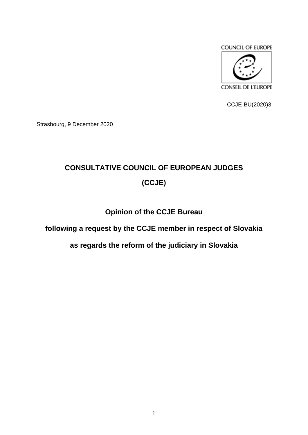

CCJE-BU(2020)3

Strasbourg, 9 December 2020

# **CONSULTATIVE COUNCIL OF EUROPEAN JUDGES (CCJE)**

## **Opinion of the CCJE Bureau**

#### **following a request by the CCJE member in respect of Slovakia**

#### **as regards the reform of the judiciary in Slovakia**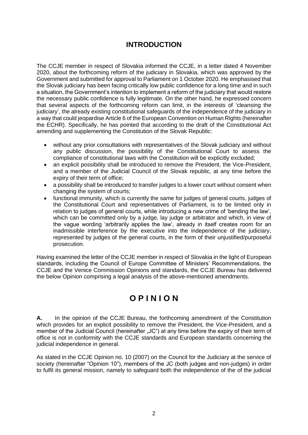### **INTRODUCTION**

The CCJE member in respect of Slovakia informed the CCJE, in a letter dated 4 November 2020, about the forthcoming reform of the judiciary in Slovakia, which was approved by the Government and submitted for approval to Parliament on 1 October 2020. He emphasised that the Slovak judiciary has been facing critically low public confidence for a long time and in such a situation, the Government's intention to implement a reform of the judiciary that would restore the necessary public confidence is fully legitimate. On the other hand, he expressed concern that several aspects of the forthcoming reform can limit, in the interests of 'cleansing the judiciary', the already existing constitutional safeguards of the independence of the judiciary in a way that could jeopardise Article 6 of the European Convention on Human Rights (hereinafter the ECHR). Specifically, he has pointed that according to the draft of the Constitutional Act amending and supplementing the Constitution of the Slovak Republic:

- without any prior consultations with representatives of the Slovak judiciary and without any public discussion, the possibility of the Constitutional Court to assess the compliance of constitutional laws with the Constitution will be explicitly excluded;
- an explicit possibility shall be introduced to remove the President, the Vice-President, and a member of the Judicial Council of the Slovak republic, at any time before the expiry of their term of office;
- a possibility shall be introduced to transfer judges to a lower court without consent when changing the system of courts;
- functional immunity, which is currently the same for judges of general courts, judges of the Constitutional Court and representatives of Parliament, is to be limited only in relation to judges of general courts, while introducing a new crime of 'bending the law', which can be committed only by a judge, lay judge or arbitrator and which, in view of the vague wording 'arbitrarily applies the law', already in itself creates room for an inadmissible interference by the executive into the independence of the judiciary, represented by judges of the general courts, in the form of their unjustified/purposeful prosecution.

Having examined the letter of the CCJE member in respect of Slovakia in the light of European standards, including the Council of Europe Committee of Ministers' Recommendations, the CCJE and the Venice Commission Opinions and standards, the CCJE Bureau has delivered the below Opinion comprising a legal analysis of the above-mentioned amendments.

## **O P I N I O N**

**A.** In the opinion of the CCJE Bureau, the forthcoming amendment of the Constitution which provides for an explicit possibility to remove the President, the Vice-President, and a member of the Judicial Council (hereinafter "JC") at any time before the expiry of their term of office is not in conformity with the CCJE standards and European standards concerning the judicial independence in general.

As stated in the CCJE Opinion no. 10 (2007) on the Council for the Judiciary at the service of society (hereinafter "Opinion 10"), members of the JC (both judges and non-judges) in order to fulfil its general mission, namely to safeguard both the independence of the of the judicial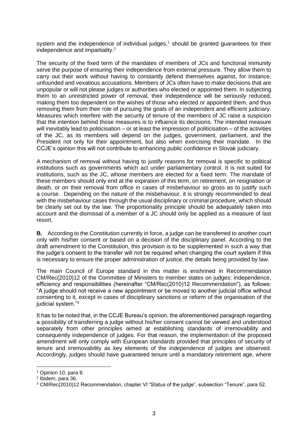system and the independence of individual judges, $<sup>1</sup>$  should be granted guarantees for their</sup> independence and impartiality.<sup>2</sup>

The security of the fixed term of the mandates of members of JCs and functional immunity serve the purpose of ensuring their independence from external pressure. They allow them to carry out their work without having to constantly defend themselves against, for instance, unfounded and vexatious accusations. Members of JCs often have to make decisions that are unpopular or will not please judges or authorities who elected or appointed them. In subjecting them to an unrestricted power of removal, their independence will be seriously reduced, making them too dependent on the wishes of those who elected or appointed them, and thus removing them from their role of pursuing the goals of an independent and efficient judiciary. Measures which interfere with the security of tenure of the members of JC raise a suspicion that the intention behind those measures is to influence its decisions. The intended measure will inevitably lead to politicisation – or at least the impression of politicisation – of the activities of the JC, as its members will depend on the judges, government, parliament, and the President not only for their appointment, but also when exercising their mandate. In the CCJE's opinion this will not contribute to enhancing public confidence in Slovak judiciary.

A mechanism of removal without having to justify reasons for removal is specific to political institutions such as governments which act under parliamentary control. It is not suited for institutions, such as the JC, whose members are elected for a fixed term. The mandate of these members should only end at the expiration of this term, on retirement, on resignation or death, or on their removal from office in cases of misbehaviour so gross as to justify such a course. Depending on the nature of the misbehaviour, it is strongly recommended to deal with the misbehaviour cases through the usual disciplinary or criminal procedure, which should be clearly set out by the law. The proportionality principle should be adequately taken into account and the dismissal of a member of a JC should only be applied as a measure of last resort.

**B.** According to the Constitution currently in force, a judge can be transferred to another court only with his/her consent or based on a decision of the disciplinary panel. According to the draft amendment to the Constitution, this provision is to be supplemented in such a way that the judge's consent to the transfer will not be required when changing the court system if this is necessary to ensure the proper administration of justice, the details being provided by law.

The main Council of Europe standard in this matter is enshrined in Recommendation CM/Rec(2010)12 of the Committee of Ministers to member states on judges: independence, efficiency and responsibilities (hereinafter "CM/Rec(2010)12 Recommendation"), as follows: "A judge should not receive a new appointment or be moved to another judicial office without consenting to it, except in cases of disciplinary sanctions or reform of the organisation of the judicial system."<sup>3</sup>

It has to be noted that, in the CCJE Bureau's opinion, the aforementioned paragraph regarding a possibility of transferring a judge without his/her consent cannot be viewed and understood separately from other principles aimed at establishing standards of irremovability and consequently independence of judges. For that reason, the implementation of the proposed amendment will only comply with European standards provided that principles of security of tenure and irremovability as key elements of the independence of judges are observed. Accordingly, judges should have guaranteed tenure until a mandatory retirement age, where

<sup>1</sup> Opinion 10, para 8.

<sup>2</sup> Ibidem, para 36.

<sup>3</sup> CM/Rec(2010)12 Recommendation, chapter VI "Status of the judge", subsection "Tenure", para 52.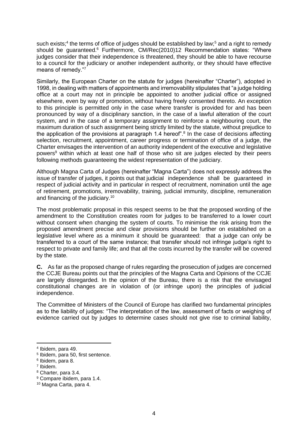such exists;<sup>4</sup> the terms of office of judges should be established by law;<sup>5</sup> and a right to remedy should be guaranteed.<sup>6</sup> Furthermore, CM/Rec(2010)12 Recommendation states: "Where judges consider that their independence is threatened, they should be able to have recourse to a council for the judiciary or another independent authority, or they should have effective means of remedy."<sup>7</sup>

Similarly, the European Charter on the statute for judges (hereinafter "Charter"), adopted in 1998, in dealing with matters of appointments and irremovability stipulates that "a judge holding office at a court may not in principle be appointed to another judicial office or assigned elsewhere, even by way of promotion, without having freely consented thereto. An exception to this principle is permitted only in the case where transfer is provided for and has been pronounced by way of a disciplinary sanction, in the case of a lawful alteration of the court system, and in the case of a temporary assignment to reinforce a neighbouring court, the maximum duration of such assignment being strictly limited by the statute, without prejudice to the application of the provisions at paragraph 1.4 hereof".<sup>8</sup> In the case of decisions affecting selection, recruitment, appointment, career progress or termination of office of a judge, the Charter envisages the intervention of an authority independent of the executive and legislative powers<sup>9</sup> within which at least one half of those who sit are judges elected by their peers following methods guaranteeing the widest representation of the judiciary.

Although Magna Carta of Judges (hereinafter "Magna Carta") does not expressly address the issue of transfer of judges, it points out that judicial independence shall be guaranteed in respect of judicial activity and in particular in respect of recruitment, nomination until the age of retirement, promotions, irremovability, training, judicial immunity, discipline, remuneration and financing of the judiciary.<sup>10</sup>

The most problematic proposal in this respect seems to be that the proposed wording of the amendment to the Constitution creates room for judges to be transferred to a lower court without consent when changing the system of courts. To minimise the risk arising from the proposed amendment precise and clear provisions should be further on established on a legislative level where as a minimum it should be guaranteed: that a judge can only be transferred to a court of the same instance; that transfer should not infringe judge's right to respect to private and family life; and that all the costs incurred by the transfer will be covered by the state.

**C.** As far as the proposed change of rules regarding the prosecution of judges are concerned the CCJE Bureau points out that the principles of the Magna Carta and Opinions of the CCJE are largely disregarded. In the opinion of the Bureau, there is a risk that the envisaged constitutional changes are in violation of (or infringe upon) the principles of judicial independence.

The Committee of Ministers of the Council of Europe has clarified two fundamental principles as to the liability of judges: "The interpretation of the law, assessment of facts or weighing of evidence carried out by judges to determine cases should not give rise to criminal liability,

<sup>4</sup> Ibidem, para 49.

<sup>5</sup> Ibidem, para 50, first sentence.

<sup>6</sup> Ibidem, para 8.

<sup>7</sup> Ibidem.

<sup>8</sup> Charter, para 3.4.

<sup>9</sup> Compare ibidem, para 1.4.

<sup>10</sup> Magna Carta, para 4.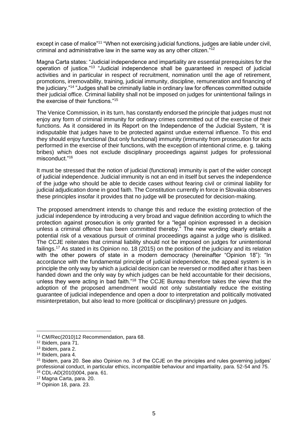except in case of malice"<sup>11</sup> "When not exercising judicial functions, judges are liable under civil, criminal and administrative law in the same way as any other citizen."<sup>12</sup>

Magna Carta states: "Judicial independence and impartiality are essential prerequisites for the operation of justice."<sup>13</sup> "Judicial independence shall be guaranteed in respect of judicial activities and in particular in respect of recruitment, nomination until the age of retirement, promotions, irremovability, training, judicial immunity, discipline, remuneration and financing of the judiciary."<sup>14</sup> "Judges shall be criminally liable in ordinary law for offences committed outside their judicial office. Criminal liability shall not be imposed on judges for unintentional failings in the exercise of their functions."<sup>15</sup>

The Venice Commission, in its turn, has constantly endorsed the principle that judges must not enjoy any form of criminal immunity for ordinary crimes committed out of the exercise of their functions. As it considered in its Report on the Independence of the Judicial System, "it is indisputable that judges have to be protected against undue external influence. To this end they should enjoy functional (but only functional) immunity (immunity from prosecution for acts performed in the exercise of their functions, with the exception of intentional crime, e. g. taking bribes) which does not exclude disciplinary proceedings against judges for professional misconduct."<sup>16</sup>

It must be stressed that the notion of judicial (functional) immunity is part of the wider concept of judicial independence. Judicial immunity is not an end in itself but serves the independence of the judge who should be able to decide cases without fearing civil or criminal liability for judicial adjudication done in good faith. The Constitution currently in force in Slovakia observes these principles insofar it provides that no judge will be prosecuted for decision-making.

The proposed amendment intends to change this and reduce the existing protection of the judicial independence by introducing a very broad and vague definition according to which the protection against prosecution is only granted for a "legal opinion expressed in a decision unless a criminal offence has been committed thereby." The new wording clearly entails a potential risk of a vexatious pursuit of criminal proceedings against a judge who is disliked. The CCJE reiterates that criminal liability should not be imposed on judges for unintentional failings.<sup>17</sup> As stated in its Opinion no. 18 (2015) on the position of the judiciary and its relation with the other powers of state in a modern democracy (hereinafter "Opinion 18"): "In accordance with the fundamental principle of judicial independence, the appeal system is in principle the only way by which a judicial decision can be reversed or modified after it has been handed down and the only way by which judges can be held accountable for their decisions, unless they were acting in bad faith."<sup>18</sup> The CCJE Bureau therefore takes the view that the adoption of the proposed amendment would not only substantially reduce the existing guarantee of judicial independence and open a door to interpretation and politically motivated misinterpretation, but also lead to more (political or disciplinary) pressure on judges.

<sup>17</sup> Magna Carta, para. 20.

<sup>11</sup> CM/Rec(2010)12 Recommendation, para 68.

<sup>12</sup> Ibidem, para 71.

<sup>13</sup> Ibidem, para 2.

<sup>14</sup> Ibidem, para 4.

<sup>15</sup> Ibidem, para 20. See also Opinion no. 3 of the CCJE on the principles and rules governing judges' professional conduct, in particular ethics, incompatible behaviour and impartiality, para. 52-54 and 75. <sup>16</sup> CDL-AD(2010)004, para. 61.

<sup>18</sup> Opinion 18, para. 23.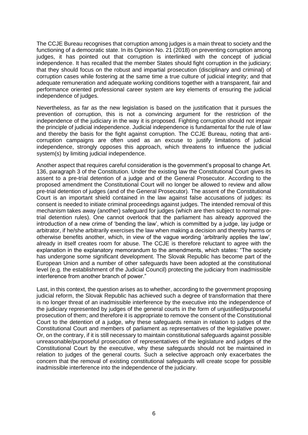The CCJE Bureau recognises that corruption among judges is a main threat to society and the functioning of a democratic state. In its Opinion No. 21 (2018) on preventing corruption among judges, it has pointed out that corruption is interlinked with the concept of judicial independence. It has recalled that the member States should fight corruption in the judiciary; that they should focus on the robust and impartial prosecution (disciplinary and criminal) of corruption cases while fostering at the same time a true culture of judicial integrity; and that adequate remuneration and adequate working conditions together with a transparent, fair and performance oriented professional career system are key elements of ensuring the judicial independence of judges.

Nevertheless, as far as the new legislation is based on the justification that it pursues the prevention of corruption, this is not a convincing argument for the restriction of the independence of the judiciary in the way it is proposed. Fighting corruption should not impair the principle of judicial independence. Judicial independence is fundamental for the rule of law and thereby the basis for the fight against corruption. The CCJE Bureau, noting that anticorruption campaigns are often used as an excuse to justify limitations of judicial independence, strongly opposes this approach, which threatens to influence the judicial system(s) by limiting judicial independence.

Another aspect that requires careful consideration is the government's proposal to change Art. 136, paragraph 3 of the Constitution. Under the existing law the Constitutional Court gives its assent to a pre-trial detention of a judge and of the General Prosecutor. According to the proposed amendment the Constitutional Court will no longer be allowed to review and allow pre-trial detention of judges (and of the General Prosecutor). The assent of the Constitutional Court is an important shield contained in the law against false accusations of judges: its consent is needed to initiate criminal proceedings against judges. The intended removal of this mechanism takes away (another) safeguard for judges (which are then subject to normal pretrial detention rules). One cannot overlook that the parliament has already approved the introduction of a new crime of 'bending the law', which is committed by a judge, lay judge or arbitrator, if he/she arbitrarily exercises the law when making a decision and thereby harms or otherwise benefits another, which, in view of the vague wording 'arbitrarily applies the law', already in itself creates room for abuse. The CCJE is therefore reluctant to agree with the explanation in the explanatory memorandum to the amendments, which states: "The society has undergone some significant development. The Slovak Republic has become part of the European Union and a number of other safeguards have been adopted at the constitutional level (e.g. the establishment of the Judicial Council) protecting the judiciary from inadmissible interference from another branch of power."

Last, in this context, the question arises as to whether, according to the government proposing judicial reform, the Slovak Republic has achieved such a degree of transformation that there is no longer threat of an inadmissible interference by the executive into the independence of the judiciary represented by judges of the general courts in the form of unjustified/purposeful prosecution of them; and therefore it is appropriate to remove the consent of the Constitutional Court to the detention of a judge, why these safeguards remain in relation to judges of the Constitutional Court and members of parliament as representatives of the legislative power. Or, on the contrary, if it is still necessary to maintain constitutional safeguards against possible unreasonable/purposeful prosecution of representatives of the legislature and judges of the Constitutional Court by the executive, why these safeguards should not be maintained in relation to judges of the general courts. Such a selective approach only exacerbates the concern that the removal of existing constitutional safeguards will create scope for possible inadmissible interference into the independence of the judiciary.